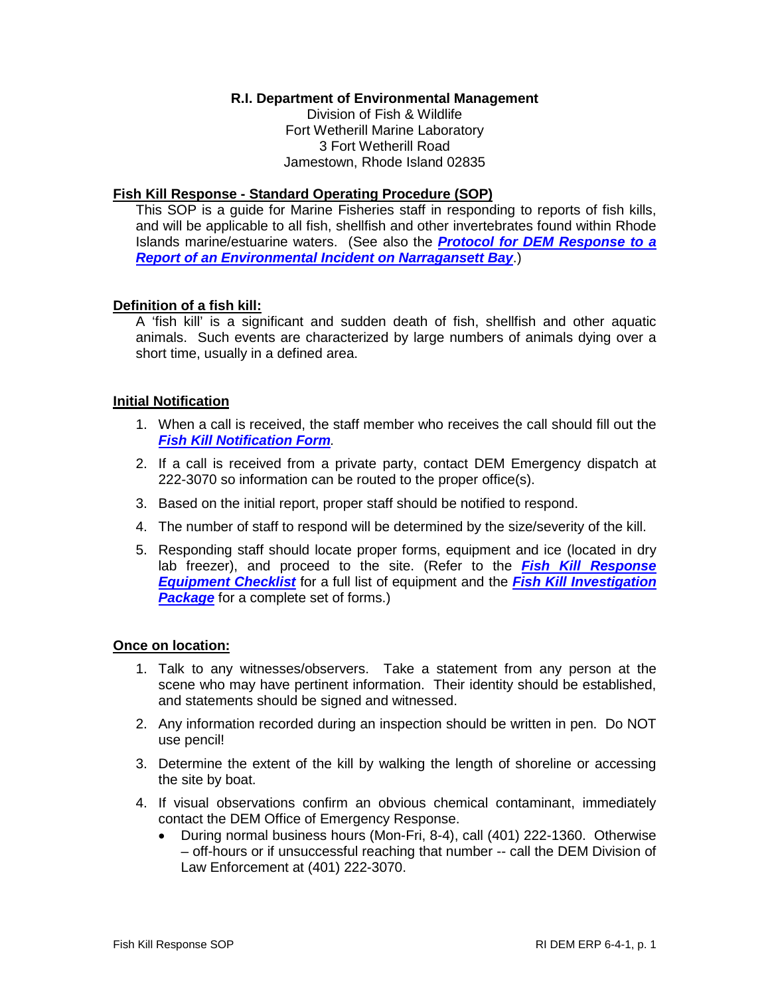# **R.I. Department of Environmental Management**

Division of Fish & Wildlife Fort Wetherill Marine Laboratory 3 Fort Wetherill Road Jamestown, Rhode Island 02835

## **Fish Kill Response - Standard Operating Procedure (SOP)**

This SOP is a guide for Marine Fisheries staff in responding to reports of fish kills, and will be applicable to all fish, shellfish and other invertebrates found within Rhode Islands marine/estuarine waters. (See also the *Protocol for DEM Response to a Report of an Environmental Incident on Narragansett Bay*.)

## **Definition of a fish kill:**

A 'fish kill' is a significant and sudden death of fish, shellfish and other aquatic animals. Such events are characterized by large numbers of animals dying over a short time, usually in a defined area.

## **Initial Notification**

- 1. When a call is received, the staff member who receives the call should fill out the *Fish Kill Notification Form.*
- 2. If a call is received from a private party, contact DEM Emergency dispatch at 222-3070 so information can be routed to the proper office(s).
- 3. Based on the initial report, proper staff should be notified to respond.
- 4. The number of staff to respond will be determined by the size/severity of the kill.
- 5. Responding staff should locate proper forms, equipment and ice (located in dry lab freezer), and proceed to the site. (Refer to the *Fish Kill Response Equipment Checklist* for a full list of equipment and the *Fish Kill Investigation*  **Package** for a complete set of forms.)

## **Once on location:**

- 1. Talk to any witnesses/observers. Take a statement from any person at the scene who may have pertinent information. Their identity should be established, and statements should be signed and witnessed.
- 2. Any information recorded during an inspection should be written in pen. Do NOT use pencil!
- 3. Determine the extent of the kill by walking the length of shoreline or accessing the site by boat.
- 4. If visual observations confirm an obvious chemical contaminant, immediately contact the DEM Office of Emergency Response.
	- During normal business hours (Mon-Fri, 8-4), call (401) 222-1360. Otherwise – off-hours or if unsuccessful reaching that number -- call the DEM Division of Law Enforcement at (401) 222-3070.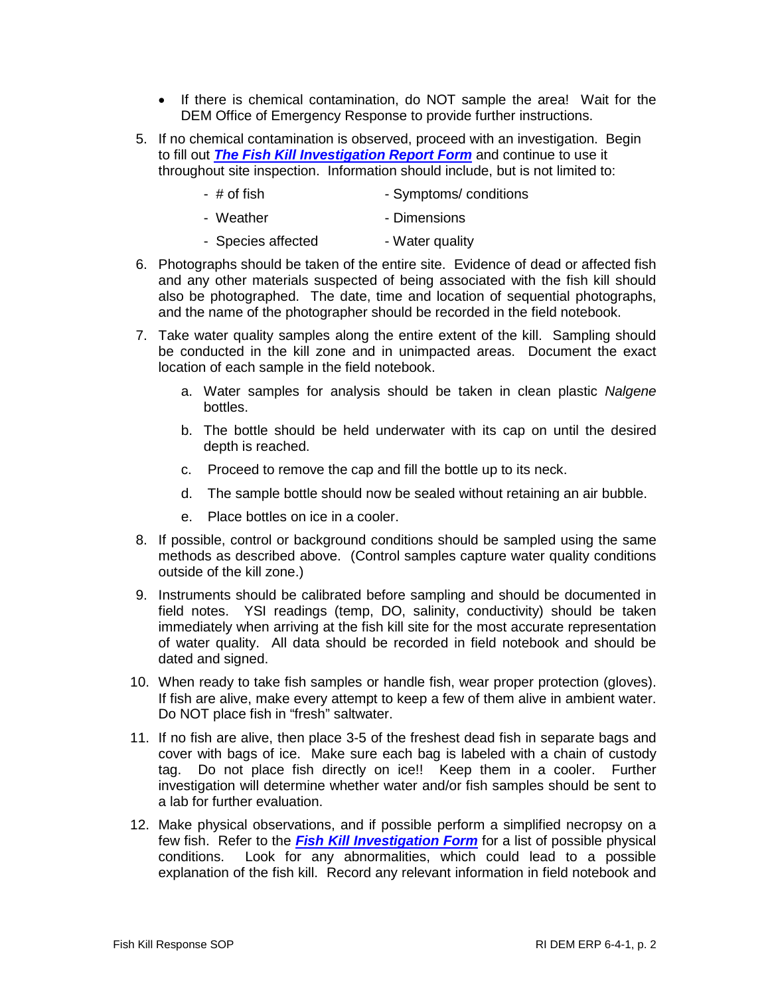- If there is chemical contamination, do NOT sample the area! Wait for the DEM Office of Emergency Response to provide further instructions.
- 5. If no chemical contamination is observed, proceed with an investigation. Begin to fill out *The Fish Kill Investigation Report Form* and continue to use it throughout site inspection. Information should include, but is not limited to:
	- # of fish  $-$  Symptoms/ conditions
	- Weather  **Dimensions**
	- Species affected Water quality
- 6. Photographs should be taken of the entire site. Evidence of dead or affected fish and any other materials suspected of being associated with the fish kill should also be photographed. The date, time and location of sequential photographs, and the name of the photographer should be recorded in the field notebook.
- 7. Take water quality samples along the entire extent of the kill. Sampling should be conducted in the kill zone and in unimpacted areas. Document the exact location of each sample in the field notebook.
	- a. Water samples for analysis should be taken in clean plastic *Nalgene* bottles.
	- b. The bottle should be held underwater with its cap on until the desired depth is reached.
	- c. Proceed to remove the cap and fill the bottle up to its neck.
	- d. The sample bottle should now be sealed without retaining an air bubble.
	- e. Place bottles on ice in a cooler.
- 8. If possible, control or background conditions should be sampled using the same methods as described above. (Control samples capture water quality conditions outside of the kill zone.)
- 9. Instruments should be calibrated before sampling and should be documented in field notes. YSI readings (temp, DO, salinity, conductivity) should be taken immediately when arriving at the fish kill site for the most accurate representation of water quality. All data should be recorded in field notebook and should be dated and signed.
- 10. When ready to take fish samples or handle fish, wear proper protection (gloves). If fish are alive, make every attempt to keep a few of them alive in ambient water. Do NOT place fish in "fresh" saltwater.
- 11. If no fish are alive, then place 3-5 of the freshest dead fish in separate bags and cover with bags of ice. Make sure each bag is labeled with a chain of custody tag. Do not place fish directly on ice!! Keep them in a cooler. Further investigation will determine whether water and/or fish samples should be sent to a lab for further evaluation.
- 12. Make physical observations, and if possible perform a simplified necropsy on a few fish. Refer to the *Fish Kill Investigation Form* for a list of possible physical conditions. Look for any abnormalities, which could lead to a possible explanation of the fish kill. Record any relevant information in field notebook and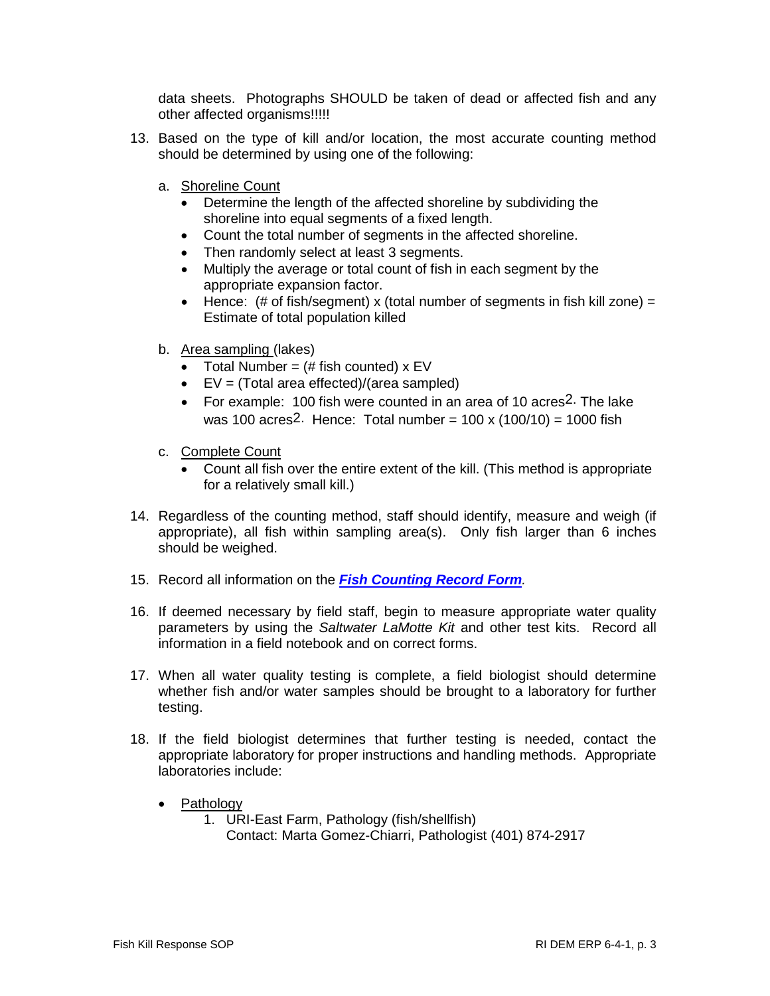data sheets. Photographs SHOULD be taken of dead or affected fish and any other affected organisms!!!!!

- 13. Based on the type of kill and/or location, the most accurate counting method should be determined by using one of the following:
	- a. Shoreline Count
		- Determine the length of the affected shoreline by subdividing the shoreline into equal segments of a fixed length.
		- Count the total number of segments in the affected shoreline.
		- Then randomly select at least 3 segments.
		- Multiply the average or total count of fish in each segment by the appropriate expansion factor.
		- Hence:  $(\# \text{ of fish/segment}) \times (total number of segments in fish kill zone) =$ Estimate of total population killed
	- b. Area sampling (lakes)
		- Total Number =  $(\#$  fish counted)  $x$  EV
		- EV = (Total area effected)/(area sampled)
		- For example: 100 fish were counted in an area of 10 acres<sup>2</sup>. The lake was 100 acres<sup>2.</sup> Hence: Total number =  $100 \times (100/10) = 1000$  fish
	- c. Complete Count
		- Count all fish over the entire extent of the kill. (This method is appropriate for a relatively small kill.)
- 14. Regardless of the counting method, staff should identify, measure and weigh (if appropriate), all fish within sampling area(s). Only fish larger than 6 inches should be weighed.
- 15. Record all information on the *Fish Counting Record Form.*
- 16. If deemed necessary by field staff, begin to measure appropriate water quality parameters by using the *Saltwater LaMotte Kit* and other test kits. Record all information in a field notebook and on correct forms.
- 17. When all water quality testing is complete, a field biologist should determine whether fish and/or water samples should be brought to a laboratory for further testing.
- 18. If the field biologist determines that further testing is needed, contact the appropriate laboratory for proper instructions and handling methods. Appropriate laboratories include:
	- Pathology
		- 1. URI-East Farm, Pathology (fish/shellfish) Contact: Marta Gomez-Chiarri, Pathologist (401) 874-2917